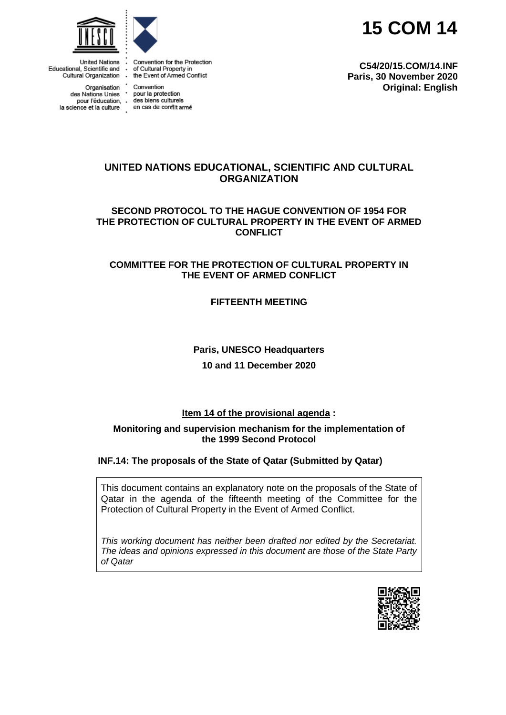**15 COM 14**





**United Nations** Educational, Scientific and Conventional Property in<br>Cultural Organization Functional Property in Cultural Organization Function Function

la science et la culture en cas de conflit armé

Convention for the Protection

# **UNITED NATIONS EDUCATIONAL, SCIENTIFIC AND CULTURAL ORGANIZATION**

**SECOND PROTOCOL TO THE HAGUE CONVENTION OF 1954 FOR THE PROTECTION OF CULTURAL PROPERTY IN THE EVENT OF ARMED CONFLICT**

# **COMMITTEE FOR THE PROTECTION OF CULTURAL PROPERTY IN THE EVENT OF ARMED CONFLICT**

**FIFTEENTH MEETING**

# **Paris, UNESCO Headquarters 10 and 11 December 2020**

# **Item 14 of the provisional agenda :**

#### **Monitoring and supervision mechanism for the implementation of the 1999 Second Protocol**

# **INF.14: The proposals of the State of Qatar (Submitted by Qatar)**

This document contains an explanatory note on the proposals of the State of Qatar in the agenda of the fifteenth meeting of the Committee for the Protection of Cultural Property in the Event of Armed Conflict.

*This working document has neither been drafted nor edited by the Secretariat. The ideas and opinions expressed in this document are those of the State Party of Qatar*



Organisation Convention<br>des Nations Unies \* pour la protection pour l'éducation, des biens culturels